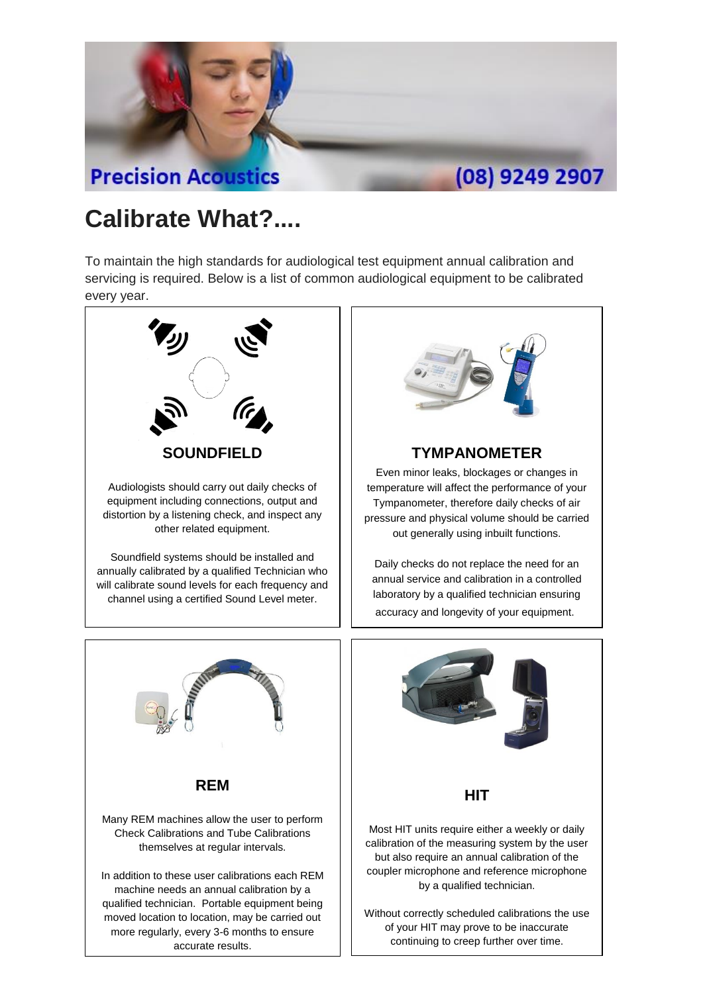

## **Calibrate What?....**

To maintain the high standards for audiological test equipment annual calibration and servicing is required. Below is a list of common audiological equipment to be calibrated every year.





## **TYMPANOMETER**

Even minor leaks, blockages or changes in temperature will affect the performance of your Tympanometer, therefore daily checks of air pressure and physical volume should be carried out generally using inbuilt functions.

Daily checks do not replace the need for an annual service and calibration in a controlled laboratory by a qualified technician ensuring accuracy and longevity of your equipment.



Without correctly scheduled calibrations the use of your HIT may prove to be inaccurate continuing to creep further over time.